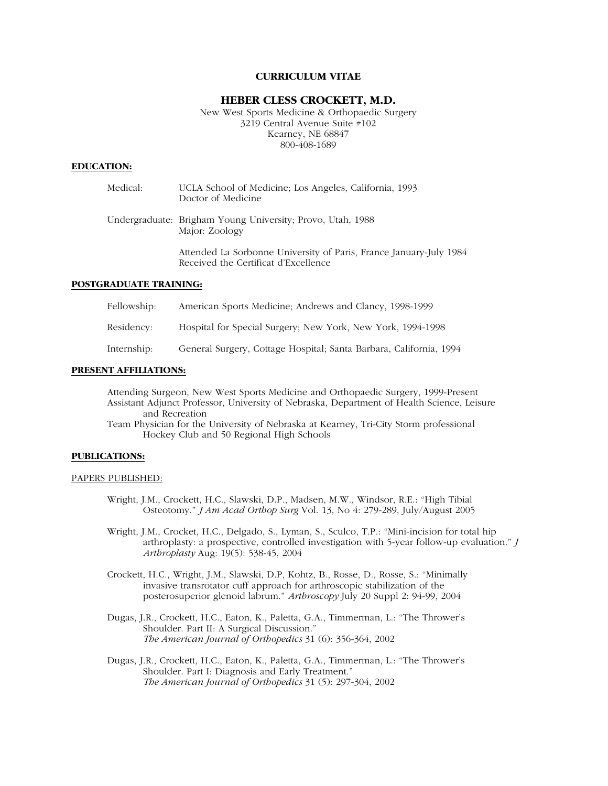## **CURRICULUM VITAE**

## **HEBER CLESS CROCKETT, M.D.**

New West Sports Medicine & Orthopaedic Surgery 3219 Central Avenue Suite #102 Kearney, NE 68847 800-408-1689

## **EDUCATION:**

| Medical: | UCLA School of Medicine; Los Angeles, California, 1993<br>Doctor of Medicine                               |
|----------|------------------------------------------------------------------------------------------------------------|
|          | Undergraduate: Brigham Young University; Provo, Utah, 1988<br>Major: Zoology                               |
|          | Attended La Sorbonne University of Paris, France January-July 1984<br>Received the Certificat d'Excellence |

## **POSTGRADUATE TRAINING:**

| Fellowship: | American Sports Medicine: Andrews and Clancy, 1998-1999            |
|-------------|--------------------------------------------------------------------|
| Residency:  | Hospital for Special Surgery; New York, New York, 1994-1998        |
| Internship: | General Surgery, Cottage Hospital; Santa Barbara, California, 1994 |

## **PRESENT AFFILIATIONS:**

Attending Surgeon, New West Sports Medicine and Orthopaedic Surgery, 1999-Present Assistant Adjunct Professor, University of Nebraska, Department of Health Science, Leisure and Recreation

Team Physician for the University of Nebraska at Kearney, Tri-City Storm professional Hockey Club and 50 Regional High Schools

#### **PUBLICATIONS:**

#### PAPERS PUBLISHED:

- Wright, J.M., Crockett, H.C., Slawski, D.P., Madsen, M.W., Windsor, R.E.: "High Tibial Osteotomy." *J Am Acad Orthop Surg* Vol. 13, No 4: 279-289, July/August 2005
- Wright, J.M., Crocket, H.C., Delgado, S., Lyman, S., Sculco, T.P.: "Mini-incision for total hip arthroplasty: a prospective, controlled investigation with 5-year follow-up evaluation." *J Arthroplasty* Aug: 19(5): 538-45, 2004
- Crockett, H.C., Wright, J.M., Slawski, D.P, Kohtz, B., Rosse, D., Rosse, S.: "Minimally invasive transrotator cuff approach for arthroscopic stabilization of the posterosuperior glenoid labrum." *Arthroscopy* July 20 Suppl 2: 94-99, 2004
- Dugas, J.R., Crockett, H.C., Eaton, K., Paletta, G.A., Timmerman, L.: "The Thrower's Shoulder. Part II: A Surgical Discussion." *The American Journal of Orthopedics* 31 (6): 356-364, 2002
- Dugas, J.R., Crockett, H.C., Eaton, K., Paletta, G.A., Timmerman, L.: "The Thrower's Shoulder. Part I: Diagnosis and Early Treatment." *The American Journal of Orthopedics* 31 (5): 297-304, 2002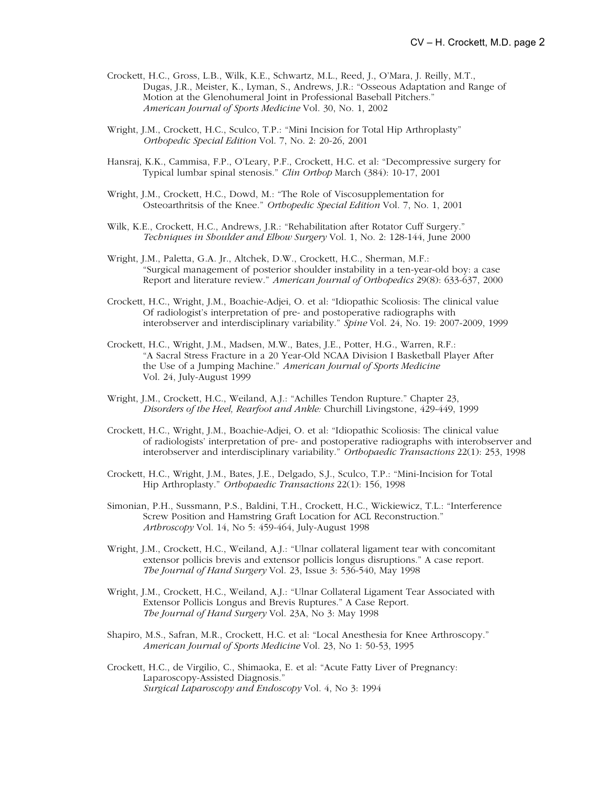- Crockett, H.C., Gross, L.B., Wilk, K.E., Schwartz, M.L., Reed, J., O'Mara, J. Reilly, M.T., Dugas, J.R., Meister, K., Lyman, S., Andrews, J.R.: "Osseous Adaptation and Range of Motion at the Glenohumeral Joint in Professional Baseball Pitchers." *American Journal of Sports Medicine* Vol. 30, No. 1, 2002
- Wright, J.M., Crockett, H.C., Sculco, T.P.: "Mini Incision for Total Hip Arthroplasty" *Orthopedic Special Edition* Vol. 7, No. 2: 20-26, 2001
- Hansraj, K.K., Cammisa, F.P., O'Leary, P.F., Crockett, H.C. et al: "Decompressive surgery for Typical lumbar spinal stenosis." *Clin Orthop* March (384): 10-17, 2001
- Wright, J.M., Crockett, H.C., Dowd, M.: "The Role of Viscosupplementation for Osteoarthritsis of the Knee." *Orthopedic Special Edition* Vol. 7, No. 1, 2001
- Wilk, K.E., Crockett, H.C., Andrews, J.R.: "Rehabilitation after Rotator Cuff Surgery." *Techniques in Shoulder and Elbow Surgery* Vol. 1, No. 2: 128-144, June 2000
- Wright, J.M., Paletta, G.A. Jr., Altchek, D.W., Crockett, H.C., Sherman, M.F.: "Surgical management of posterior shoulder instability in a ten-year-old boy: a case Report and literature review." *American Journal of Orthopedics* 29(8): 633-637, 2000
- Crockett, H.C., Wright, J.M., Boachie-Adjei, O. et al: "Idiopathic Scoliosis: The clinical value Of radiologist's interpretation of pre- and postoperative radiographs with interobserver and interdisciplinary variability." *Spine* Vol. 24, No. 19: 2007-2009, 1999
- Crockett, H.C., Wright, J.M., Madsen, M.W., Bates, J.E., Potter, H.G., Warren, R.F.: "A Sacral Stress Fracture in a 20 Year-Old NCAA Division I Basketball Player After the Use of a Jumping Machine." *American Journal of Sports Medicine* Vol. 24, July-August 1999
- Wright, J.M., Crockett, H.C., Weiland, A.J.: "Achilles Tendon Rupture." Chapter 23, *Disorders of the Heel, Rearfoot and Ankle:* Churchill Livingstone, 429-449, 1999
- Crockett, H.C., Wright, J.M., Boachie-Adjei, O. et al: "Idiopathic Scoliosis: The clinical value of radiologists' interpretation of pre- and postoperative radiographs with interobserver and interobserver and interdisciplinary variability." *Orthopaedic Transactions* 22(1): 253, 1998
- Crockett, H.C., Wright, J.M., Bates, J.E., Delgado, S.J., Sculco, T.P.: "Mini-Incision for Total Hip Arthroplasty." *Orthopaedic Transactions* 22(1): 156, 1998
- Simonian, P.H., Sussmann, P.S., Baldini, T.H., Crockett, H.C., Wickiewicz, T.L.: "Interference Screw Position and Hamstring Graft Location for ACL Reconstruction." *Arthroscopy* Vol. 14, No 5: 459-464, July-August 1998
- Wright, J.M., Crockett, H.C., Weiland, A.J.: "Ulnar collateral ligament tear with concomitant extensor pollicis brevis and extensor pollicis longus disruptions." A case report. *The Journal of Hand Surgery* Vol. 23, Issue 3: 536-540, May 1998
- Wright, J.M., Crockett, H.C., Weiland, A.J.: "Ulnar Collateral Ligament Tear Associated with Extensor Pollicis Longus and Brevis Ruptures." A Case Report. *The Journal of Hand Surgery* Vol. 23A, No 3: May 1998
- Shapiro, M.S., Safran, M.R., Crockett, H.C. et al: "Local Anesthesia for Knee Arthroscopy." *American Journal of Sports Medicine* Vol. 23, No 1: 50-53, 1995
- Crockett, H.C., de Virgilio, C., Shimaoka, E. et al: "Acute Fatty Liver of Pregnancy: Laparoscopy-Assisted Diagnosis." *Surgical Laparoscopy and Endoscopy* Vol. 4, No 3: 1994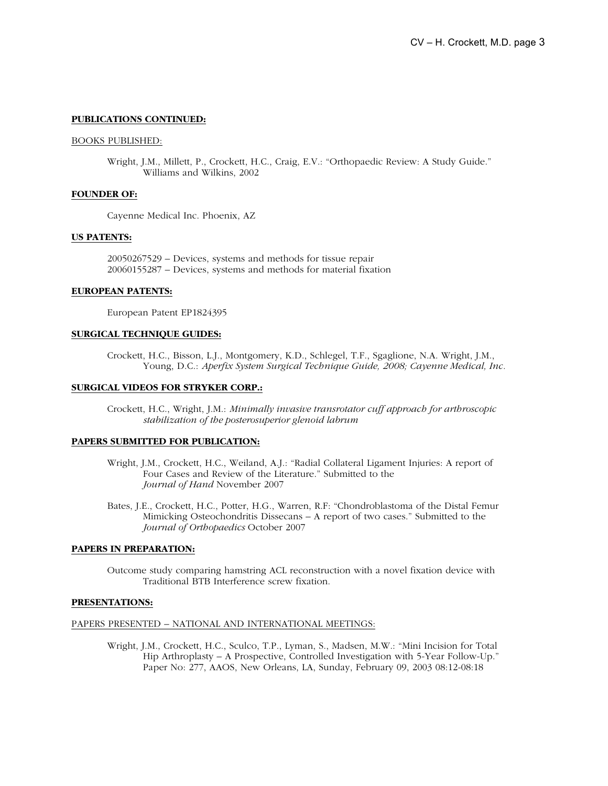## **PUBLICATIONS CONTINUED:**

### BOOKS PUBLISHED:

Wright, J.M., Millett, P., Crockett, H.C., Craig, E.V.: "Orthopaedic Review: A Study Guide." Williams and Wilkins, 2002

## **FOUNDER OF:**

Cayenne Medical Inc. Phoenix, AZ

# **US PATENTS:**

20050267529 – Devices, systems and methods for tissue repair 20060155287 – Devices, systems and methods for material fixation

#### **EUROPEAN PATENTS:**

European Patent EP1824395

## **SURGICAL TECHNIQUE GUIDES:**

Crockett, H.C., Bisson, L.J., Montgomery, K.D., Schlegel, T.F., Sgaglione, N.A. Wright, J.M., Young, D.C.: *Aperfix System Surgical Technique Guide, 2008; Cayenne Medical, Inc.*

### **SURGICAL VIDEOS FOR STRYKER CORP.:**

Crockett, H.C., Wright, J.M.: *Minimally invasive transrotator cuff approach for arthroscopic stabilization of the posterosuperior glenoid labrum*

# **PAPERS SUBMITTED FOR PUBLICATION:**

- Wright, J.M., Crockett, H.C., Weiland, A.J.: "Radial Collateral Ligament Injuries: A report of Four Cases and Review of the Literature." Submitted to the *Journal of Hand* November 2007
- Bates, J.E., Crockett, H.C., Potter, H.G., Warren, R.F: "Chondroblastoma of the Distal Femur Mimicking Osteochondritis Dissecans – A report of two cases." Submitted to the *Journal of Orthopaedics* October 2007

#### **PAPERS IN PREPARATION:**

Outcome study comparing hamstring ACL reconstruction with a novel fixation device with Traditional BTB Interference screw fixation.

#### **PRESENTATIONS:**

## PAPERS PRESENTED – NATIONAL AND INTERNATIONAL MEETINGS:

Wright, J.M., Crockett, H.C., Sculco, T.P., Lyman, S., Madsen, M.W.: "Mini Incision for Total Hip Arthroplasty – A Prospective, Controlled Investigation with 5-Year Follow-Up." Paper No: 277, AAOS, New Orleans, LA, Sunday, February 09, 2003 08:12-08:18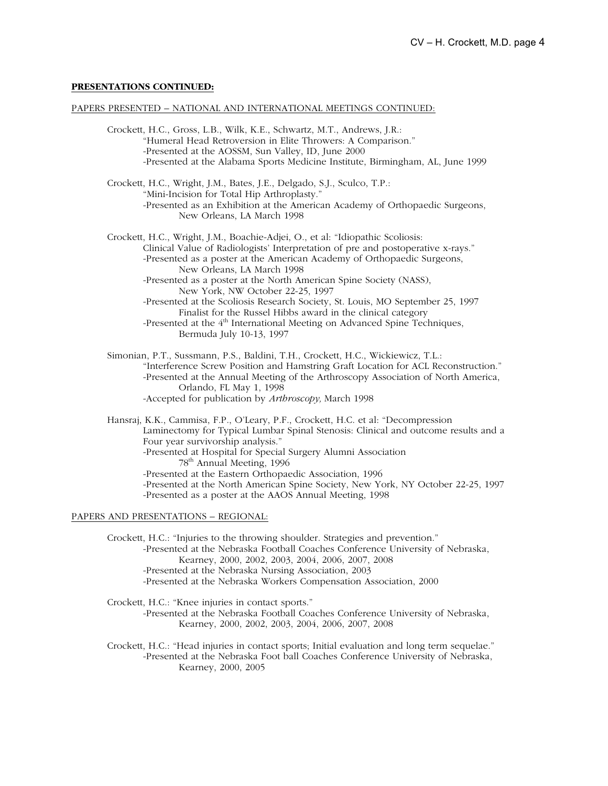## **PRESENTATIONS CONTINUED:**

#### PAPERS PRESENTED – NATIONAL AND INTERNATIONAL MEETINGS CONTINUED:

Crockett, H.C., Gross, L.B., Wilk, K.E., Schwartz, M.T., Andrews, J.R.: "Humeral Head Retroversion in Elite Throwers: A Comparison." -Presented at the AOSSM, Sun Valley, ID, June 2000 -Presented at the Alabama Sports Medicine Institute, Birmingham, AL, June 1999 Crockett, H.C., Wright, J.M., Bates, J.E., Delgado, S.J., Sculco, T.P.: "Mini-Incision for Total Hip Arthroplasty." -Presented as an Exhibition at the American Academy of Orthopaedic Surgeons, New Orleans, LA March 1998 Crockett, H.C., Wright, J.M., Boachie-Adjei, O., et al: "Idiopathic Scoliosis: Clinical Value of Radiologists' Interpretation of pre and postoperative x-rays." -Presented as a poster at the American Academy of Orthopaedic Surgeons, New Orleans, LA March 1998 -Presented as a poster at the North American Spine Society (NASS), New York, NW October 22-25, 1997 -Presented at the Scoliosis Research Society, St. Louis, MO September 25, 1997 Finalist for the Russel Hibbs award in the clinical category -Presented at the 4<sup>th</sup> International Meeting on Advanced Spine Techniques, Bermuda July 10-13, 1997 Simonian, P.T., Sussmann, P.S., Baldini, T.H., Crockett, H.C., Wickiewicz, T.L.: "Interference Screw Position and Hamstring Graft Location for ACL Reconstruction." -Presented at the Annual Meeting of the Arthroscopy Association of North America, Orlando, FL May 1, 1998 -Accepted for publication by *Arthroscopy,* March 1998 Hansraj, K.K., Cammisa, F.P., O'Leary, P.F., Crockett, H.C. et al: "Decompression Laminectomy for Typical Lumbar Spinal Stenosis: Clinical and outcome results and a Four year survivorship analysis." -Presented at Hospital for Special Surgery Alumni Association 78th Annual Meeting, 1996 -Presented at the Eastern Orthopaedic Association, 1996 -Presented at the North American Spine Society, New York, NY October 22-25, 1997 -Presented as a poster at the AAOS Annual Meeting, 1998

### PAPERS AND PRESENTATIONS – REGIONAL:

Crockett, H.C.: "Injuries to the throwing shoulder. Strategies and prevention." -Presented at the Nebraska Football Coaches Conference University of Nebraska, Kearney, 2000, 2002, 2003, 2004, 2006, 2007, 2008 -Presented at the Nebraska Nursing Association, 2003 -Presented at the Nebraska Workers Compensation Association, 2000

Crockett, H.C.: "Knee injuries in contact sports." -Presented at the Nebraska Football Coaches Conference University of Nebraska, Kearney, 2000, 2002, 2003, 2004, 2006, 2007, 2008

Crockett, H.C.: "Head injuries in contact sports; Initial evaluation and long term sequelae." -Presented at the Nebraska Foot ball Coaches Conference University of Nebraska, Kearney, 2000, 2005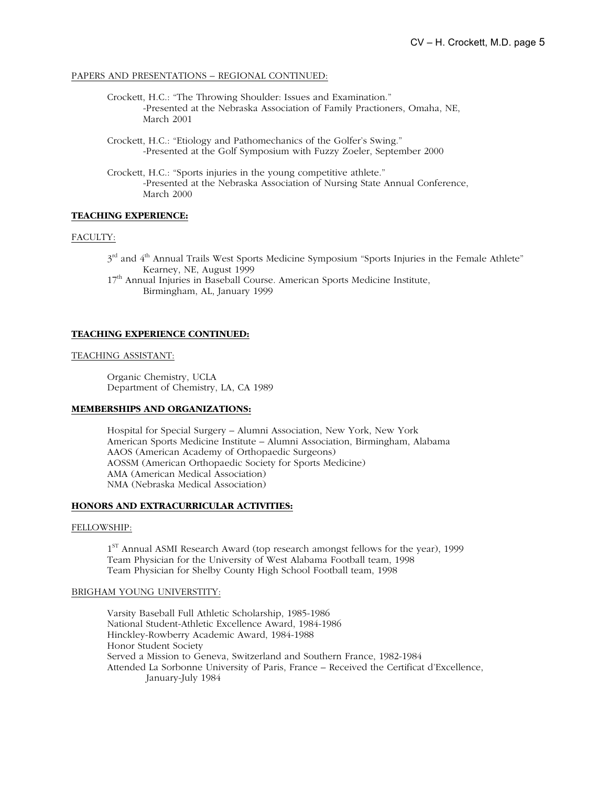## PAPERS AND PRESENTATIONS – REGIONAL CONTINUED:

- Crockett, H.C.: "The Throwing Shoulder: Issues and Examination." -Presented at the Nebraska Association of Family Practioners, Omaha, NE, March 2001
- Crockett, H.C.: "Etiology and Pathomechanics of the Golfer's Swing." -Presented at the Golf Symposium with Fuzzy Zoeler, September 2000
- Crockett, H.C.: "Sports injuries in the young competitive athlete." -Presented at the Nebraska Association of Nursing State Annual Conference, March 2000

## **TEACHING EXPERIENCE:**

## FACULTY:

 $3<sup>rd</sup>$  and  $4<sup>th</sup>$  Annual Trails West Sports Medicine Symposium "Sports Injuries in the Female Athlete" Kearney, NE, August 1999

17<sup>th</sup> Annual Injuries in Baseball Course. American Sports Medicine Institute, Birmingham, AL, January 1999

## **TEACHING EXPERIENCE CONTINUED:**

#### TEACHING ASSISTANT:

Organic Chemistry, UCLA Department of Chemistry, LA, CA 1989

# **MEMBERSHIPS AND ORGANIZATIONS:**

Hospital for Special Surgery – Alumni Association, New York, New York American Sports Medicine Institute – Alumni Association, Birmingham, Alabama AAOS (American Academy of Orthopaedic Surgeons) AOSSM (American Orthopaedic Society for Sports Medicine) AMA (American Medical Association) NMA (Nebraska Medical Association)

## **HONORS AND EXTRACURRICULAR ACTIVITIES:**

## FELLOWSHIP:

 $1<sup>ST</sup>$  Annual ASMI Research Award (top research amongst fellows for the year), 1999 Team Physician for the University of West Alabama Football team, 1998 Team Physician for Shelby County High School Football team, 1998

### BRIGHAM YOUNG UNIVERSTITY:

Varsity Baseball Full Athletic Scholarship, 1985-1986 National Student-Athletic Excellence Award, 1984-1986 Hinckley-Rowberry Academic Award, 1984-1988 Honor Student Society Served a Mission to Geneva, Switzerland and Southern France, 1982-1984 Attended La Sorbonne University of Paris, France – Received the Certificat d'Excellence, January-July 1984